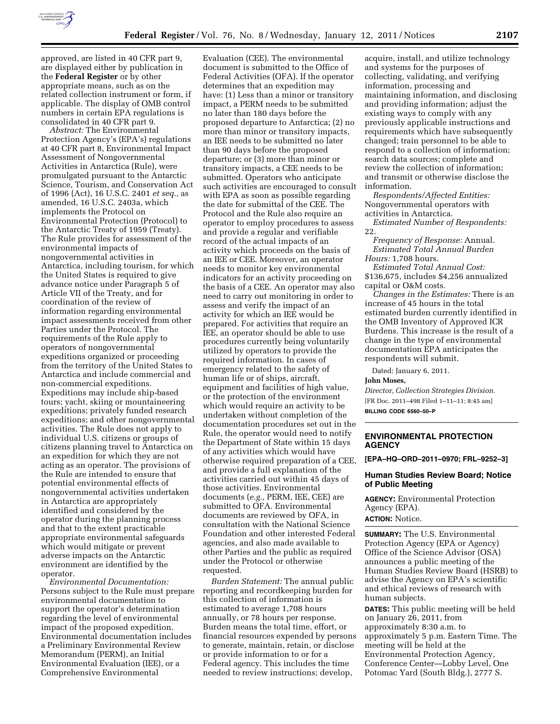

approved, are listed in 40 CFR part 9, are displayed either by publication in the **Federal Register** or by other appropriate means, such as on the related collection instrument or form, if applicable. The display of OMB control numbers in certain EPA regulations is consolidated in 40 CFR part 9.

*Abstract:* The Environmental Protection Agency's (EPA's) regulations at 40 CFR part 8, Environmental Impact Assessment of Nongovernmental Activities in Antarctica (Rule), were promulgated pursuant to the Antarctic Science, Tourism, and Conservation Act of 1996 (Act), 16 U.S.C. 2401 *et seq.,* as amended, 16 U.S.C. 2403a, which implements the Protocol on Environmental Protection (Protocol) to the Antarctic Treaty of 1959 (Treaty). The Rule provides for assessment of the environmental impacts of nongovernmental activities in Antarctica, including tourism, for which the United States is required to give advance notice under Paragraph 5 of Article VII of the Treaty, and for coordination of the review of information regarding environmental impact assessments received from other Parties under the Protocol. The requirements of the Rule apply to operators of nongovernmental expeditions organized or proceeding from the territory of the United States to Antarctica and include commercial and non-commercial expeditions. Expeditions may include ship-based tours; yacht, skiing or mountaineering expeditions; privately funded research expeditions; and other nongovernmental activities. The Rule does not apply to individual U.S. citizens or groups of citizens planning travel to Antarctica on an expedition for which they are not acting as an operator. The provisions of the Rule are intended to ensure that potential environmental effects of nongovernmental activities undertaken in Antarctica are appropriately identified and considered by the operator during the planning process and that to the extent practicable appropriate environmental safeguards which would mitigate or prevent adverse impacts on the Antarctic environment are identified by the operator.

*Environmental Documentation:*  Persons subject to the Rule must prepare environmental documentation to support the operator's determination regarding the level of environmental impact of the proposed expedition. Environmental documentation includes a Preliminary Environmental Review Memorandum (PERM), an Initial Environmental Evaluation (IEE), or a Comprehensive Environmental

Evaluation (CEE). The environmental document is submitted to the Office of Federal Activities (OFA). If the operator determines that an expedition may have: (1) Less than a minor or transitory impact, a PERM needs to be submitted no later than 180 days before the proposed departure to Antarctica; (2) no more than minor or transitory impacts, an IEE needs to be submitted no later than 90 days before the proposed departure; or (3) more than minor or transitory impacts, a CEE needs to be submitted. Operators who anticipate such activities are encouraged to consult with EPA as soon as possible regarding the date for submittal of the CEE. The Protocol and the Rule also require an operator to employ procedures to assess and provide a regular and verifiable record of the actual impacts of an activity which proceeds on the basis of an IEE or CEE. Moreover, an operator needs to monitor key environmental indicators for an activity proceeding on the basis of a CEE. An operator may also need to carry out monitoring in order to assess and verify the impact of an activity for which an IEE would be prepared. For activities that require an IEE, an operator should be able to use procedures currently being voluntarily utilized by operators to provide the required information. In cases of emergency related to the safety of human life or of ships, aircraft, equipment and facilities of high value, or the protection of the environment which would require an activity to be undertaken without completion of the documentation procedures set out in the Rule, the operator would need to notify the Department of State within 15 days of any activities which would have otherwise required preparation of a CEE, and provide a full explanation of the activities carried out within 45 days of those activities. Environmental documents (*e.g.,* PERM, IEE, CEE) are submitted to OFA. Environmental documents are reviewed by OFA, in consultation with the National Science Foundation and other interested Federal agencies, and also made available to other Parties and the public as required under the Protocol or otherwise requested.

*Burden Statement:* The annual public reporting and recordkeeping burden for this collection of information is estimated to average 1,708 hours annually, or 78 hours per response. Burden means the total time, effort, or financial resources expended by persons to generate, maintain, retain, or disclose or provide information to or for a Federal agency. This includes the time needed to review instructions; develop,

acquire, install, and utilize technology and systems for the purposes of collecting, validating, and verifying information, processing and maintaining information, and disclosing and providing information; adjust the existing ways to comply with any previously applicable instructions and requirements which have subsequently changed; train personnel to be able to respond to a collection of information; search data sources; complete and review the collection of information; and transmit or otherwise disclose the information.

*Respondents/Affected Entities:*  Nongovernmental operators with activities in Antarctica.

*Estimated Number of Respondents:*  22.

*Frequency of Response:* Annual. *Estimated Total Annual Burden Hours:* 1,708 hours.

*Estimated Total Annual Cost:*  \$136,675, includes \$4,256 annualized capital or O&M costs.

*Changes in the Estimates:* There is an increase of 45 hours in the total estimated burden currently identified in the OMB Inventory of Approved ICR Burdens. This increase is the result of a change in the type of environmental documentation EPA anticipates the respondents will submit.

Dated: January 6, 2011.

**John Moses,** 

*Director, Collection Strategies Division.*  [FR Doc. 2011–498 Filed 1–11–11; 8:45 am] **BILLING CODE 6560–50–P** 

# **ENVIRONMENTAL PROTECTION AGENCY**

**[EPA–HQ–ORD–2011–0970; FRL–9252–3]** 

## **Human Studies Review Board; Notice of Public Meeting**

**AGENCY:** Environmental Protection Agency (EPA). **ACTION:** Notice.

**SUMMARY:** The U.S. Environmental Protection Agency (EPA or Agency) Office of the Science Advisor (OSA) announces a public meeting of the Human Studies Review Board (HSRB) to advise the Agency on EPA's scientific and ethical reviews of research with human subjects.

**DATES:** This public meeting will be held on January 26, 2011, from approximately 8:30 a.m. to approximately 5 p.m. Eastern Time. The meeting will be held at the Environmental Protection Agency, Conference Center—Lobby Level, One Potomac Yard (South Bldg.), 2777 S.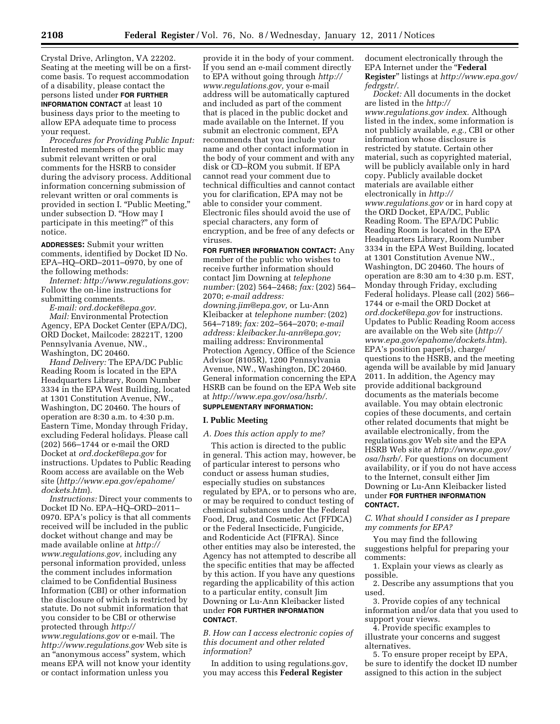Crystal Drive, Arlington, VA 22202. Seating at the meeting will be on a firstcome basis. To request accommodation of a disability, please contact the persons listed under **FOR FURTHER INFORMATION CONTACT** at least 10 business days prior to the meeting to allow EPA adequate time to process your request.

*Procedures for Providing Public Input:*  Interested members of the public may submit relevant written or oral comments for the HSRB to consider during the advisory process. Additional information concerning submission of relevant written or oral comments is provided in section I. "Public Meeting," under subsection D. ''How may I participate in this meeting?'' of this notice.

**ADDRESSES:** Submit your written comments, identified by Docket ID No. EPA–HQ–ORD–2011–0970, by one of the following methods:

*Internet: [http://www.regulations.gov:](http://www.regulations.gov)*  Follow the on-line instructions for submitting comments.

*E-mail: [ord.docket@epa.gov.](mailto:ord.docket@epa.gov) Mail:* Environmental Protection Agency, EPA Docket Center (EPA/DC), ORD Docket, Mailcode: 28221T, 1200 Pennsylvania Avenue, NW., Washington, DC 20460.

*Hand Delivery:* The EPA/DC Public Reading Room is located in the EPA Headquarters Library, Room Number 3334 in the EPA West Building, located at 1301 Constitution Avenue, NW., Washington, DC 20460. The hours of operation are 8:30 a.m. to 4:30 p.m. Eastern Time, Monday through Friday, excluding Federal holidays. Please call (202) 566–1744 or e-mail the ORD Docket at *[ord.docket@epa.gov](mailto:ord.docket@epa.gov)* for instructions. Updates to Public Reading Room access are available on the Web site (*[http://www.epa.gov/epahome/](http://www.epa.gov/epahome/dockets.htm) [dockets.htm](http://www.epa.gov/epahome/dockets.htm)*).

*Instructions:* Direct your comments to Docket ID No. EPA–HQ–ORD–2011– 0970. EPA's policy is that all comments received will be included in the public docket without change and may be made available online at *[http://](http://www.regulations.gov)  [www.regulations.gov,](http://www.regulations.gov)* including any personal information provided, unless the comment includes information claimed to be Confidential Business Information (CBI) or other information the disclosure of which is restricted by statute. Do not submit information that you consider to be CBI or otherwise protected through *[http://](http://www.regulations.gov)  [www.regulations.gov](http://www.regulations.gov)* or e-mail. The *<http://www.regulations.gov>* Web site is an ''anonymous access'' system, which means EPA will not know your identity or contact information unless you

provide it in the body of your comment. If you send an e-mail comment directly to EPA without going through *[http://](http://www.regulations.gov) [www.regulations.gov,](http://www.regulations.gov)* your e-mail address will be automatically captured and included as part of the comment that is placed in the public docket and made available on the Internet. If you submit an electronic comment, EPA recommends that you include your name and other contact information in the body of your comment and with any disk or CD–ROM you submit. If EPA cannot read your comment due to technical difficulties and cannot contact you for clarification, EPA may not be able to consider your comment. Electronic files should avoid the use of special characters, any form of encryption, and be free of any defects or viruses.

**FOR FURTHER INFORMATION CONTACT:** Any member of the public who wishes to receive further information should contact Jim Downing at *telephone number:* (202) 564–2468; *fax:* (202) 564– 2070; *e-mail address: [downing.jim@epa.gov,](mailto:downing.jim@epa.gov)* or Lu-Ann Kleibacker at *telephone number:* (202)

564–7189; *fax:* 202–564–2070; *e-mail address: [kleibacker.lu-ann@epa.gov;](mailto:kleibacker.lu-ann@epa.gov)*  mailing address: Environmental Protection Agency, Office of the Science Advisor (8105R), 1200 Pennsylvania Avenue, NW., Washington, DC 20460. General information concerning the EPA HSRB can be found on the EPA Web site at *[http://www.epa.gov/osa/hsrb/.](http://www.epa.gov/osa/hsrb/)* 

# **SUPPLEMENTARY INFORMATION:**

### **I. Public Meeting**

#### *A. Does this action apply to me?*

This action is directed to the public in general. This action may, however, be of particular interest to persons who conduct or assess human studies, especially studies on substances regulated by EPA, or to persons who are, or may be required to conduct testing of chemical substances under the Federal Food, Drug, and Cosmetic Act (FFDCA) or the Federal Insecticide, Fungicide, and Rodenticide Act (FIFRA). Since other entities may also be interested, the Agency has not attempted to describe all the specific entities that may be affected by this action. If you have any questions regarding the applicability of this action to a particular entity, consult Jim Downing or Lu-Ann Kleibacker listed under **FOR FURTHER INFORMATION CONTACT**.

*B. How can I access electronic copies of this document and other related information?* 

In addition to using regulations.gov, you may access this **Federal Register** 

document electronically through the EPA Internet under the ''**Federal Register**'' listings at *[http://www.epa.gov/](http://www.epa.gov/fedrgstr/) [fedrgstr/.](http://www.epa.gov/fedrgstr/)* 

*Docket:* All documents in the docket are listed in the *[http://](http://www.regulations.gov) [www.regulations.gov](http://www.regulations.gov) index.* Although listed in the index, some information is not publicly available, *e.g.,* CBI or other information whose disclosure is restricted by statute. Certain other material, such as copyrighted material, will be publicly available only in hard copy. Publicly available docket materials are available either electronically in *[http://](http://www.regulations.gov) [www.regulations.gov](http://www.regulations.gov)* or in hard copy at the ORD Docket, EPA/DC, Public Reading Room. The EPA/DC Public Reading Room is located in the EPA Headquarters Library, Room Number 3334 in the EPA West Building, located at 1301 Constitution Avenue NW., Washington, DC 20460. The hours of operation are 8:30 am to 4:30 p.m. EST, Monday through Friday, excluding Federal holidays. Please call (202) 566– 1744 or e-mail the ORD Docket at *[ord.docket@epa.gov](mailto:ord.docket@epa.gov)* for instructions. Updates to Public Reading Room access are available on the Web site (*[http://](http://www.epa.gov/epahome/dockets.htm) [www.epa.gov/epahome/dockets.htm](http://www.epa.gov/epahome/dockets.htm)*). EPA's position paper(s), charge/ questions to the HSRB, and the meeting agenda will be available by mid January 2011. In addition, the Agency may provide additional background documents as the materials become available. You may obtain electronic copies of these documents, and certain other related documents that might be available electronically, from the regulations.gov Web site and the EPA HSRB Web site at *[http://www.epa.gov/](http://www.epa.gov/osa/hsrb/)  [osa/hsrb/.](http://www.epa.gov/osa/hsrb/)* For questions on document availability, or if you do not have access to the Internet, consult either Jim Downing or Lu-Ann Kleibacker listed under **FOR FURTHER INFORMATION CONTACT.** 

*C. What should I consider as I prepare my comments for EPA?* 

You may find the following suggestions helpful for preparing your comments:

1. Explain your views as clearly as possible.

2. Describe any assumptions that you used.

3. Provide copies of any technical information and/or data that you used to support your views.

4. Provide specific examples to illustrate your concerns and suggest alternatives.

5. To ensure proper receipt by EPA, be sure to identify the docket ID number assigned to this action in the subject